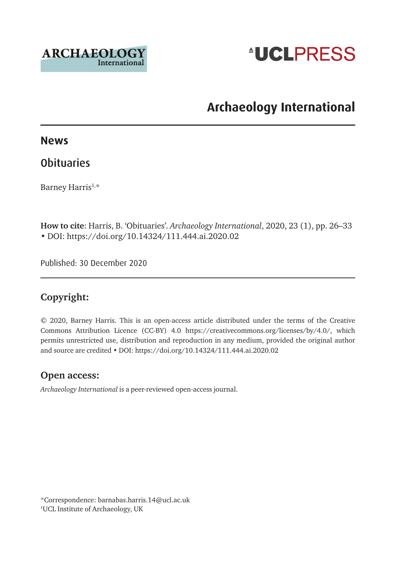



## **Archaeology International**

#### **News**

## **Obituaries**

Barney Harris<sup>1,\*</sup>

**How to cite**: Harris, B. 'Obituaries'. *Archaeology International*, 2020, 23 (1), pp. 26–33 • DOI: https://doi.org/10.14324/111.444.ai.2020.02

Published: 30 December 2020

#### **Copyright:**

© 2020, Barney Harris. This is an open-access article distributed under the terms of the Creative Commons Attribution Licence (CC-BY) 4.0 <https://creativecommons.org/licenses/by/4.0/>, which permits unrestricted use, distribution and reproduction in any medium, provided the original author and source are credited • DOI: https://doi.org/10.14324/111.444.ai.2020.02

#### **Open access:**

*Archaeology International* is a peer-reviewed open-access journal.

\*Correspondence: [barnabas.harris.14@ucl.ac.uk](mailto:barnabas.harris.14@ucl.ac.uk) 1 UCL Institute of Archaeology, UK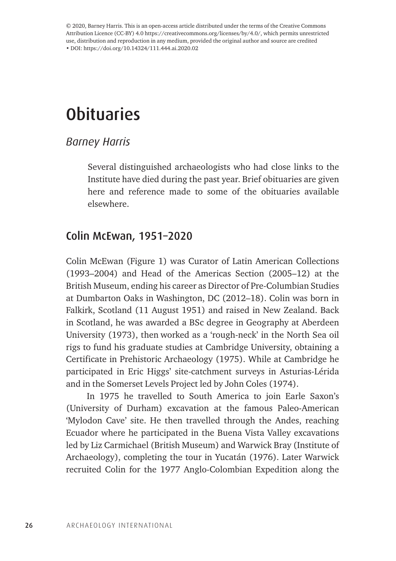© 2020, Barney Harris. This is an open-access article distributed under the terms of the Creative Commons Attribution Licence (CC-BY) 4.0 <https://creativecommons.org/licenses/by/4.0/>, which permits unrestricted use, distribution and reproduction in any medium, provided the original author and source are credited • DOI: https://doi.org/10.14324/111.444.ai.2020.02

# **Obituaries**

#### *Barney Harris*

Several distinguished archaeologists who had close links to the Institute have died during the past year. Brief obituaries are given here and reference made to some of the obituaries available elsewhere.

### Colin McEwan, 1951–2020

Colin McEwan (Figure 1) was Curator of Latin American Collections (1993–2004) and Head of the Americas Section (2005–12) at the British Museum, ending his career as Director of Pre-Columbian Studies at Dumbarton Oaks in Washington, DC (2012–18). Colin was born in Falkirk, Scotland (11 August 1951) and raised in New Zealand. Back in Scotland, he was awarded a BSc degree in Geography at Aberdeen University (1973), then worked as a 'rough-neck' in the North Sea oil rigs to fund his graduate studies at Cambridge University, obtaining a Certificate in Prehistoric Archaeology (1975). While at Cambridge he participated in Eric Higgs' site-catchment surveys in Asturias-Lérida and in the Somerset Levels Project led by John Coles (1974).

In 1975 he travelled to South America to join Earle Saxon's (University of Durham) excavation at the famous Paleo-American 'Mylodon Cave' site. He then travelled through the Andes, reaching Ecuador where he participated in the Buena Vista Valley excavations led by Liz Carmichael (British Museum) and Warwick Bray (Institute of Archaeology), completing the tour in Yucatán (1976). Later Warwick recruited Colin for the 1977 Anglo-Colombian Expedition along the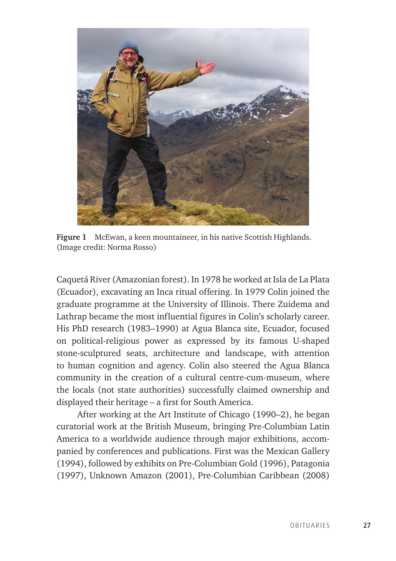

**Figure 1** McEwan, a keen mountaineer, in his native Scottish Highlands. (Image credit: Norma Rosso)

Caquetá River (Amazonian forest). In 1978 he worked at Isla de La Plata (Ecuador), excavating an Inca ritual offering. In 1979 Colin joined the graduate programme at the University of Illinois. There Zuidema and Lathrap became the most influential figures in Colin's scholarly career. His PhD research (1983–1990) at Agua Blanca site, Ecuador, focused on political-religious power as expressed by its famous U-shaped stone-sculptured seats, architecture and landscape, with attention to human cognition and agency. Colin also steered the Agua Blanca community in the creation of a cultural centre-cum-museum, where the locals (not state authorities) successfully claimed ownership and displayed their heritage – a first for South America.

After working at the Art Institute of Chicago (1990–2), he began curatorial work at the British Museum, bringing Pre-Columbian Latin America to a worldwide audience through major exhibitions, accompanied by conferences and publications. First was the Mexican Gallery (1994), followed by exhibits on Pre-Columbian Gold (1996), Patagonia (1997), Unknown Amazon (2001), Pre-Columbian Caribbean (2008)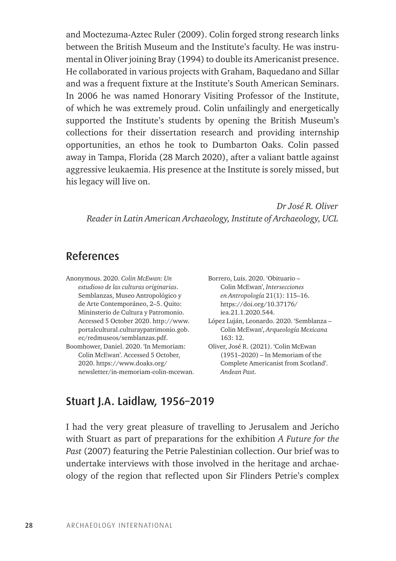and Moctezuma-Aztec Ruler (2009). Colin forged strong research links between the British Museum and the Institute's faculty. He was instrumental in Oliver joining Bray (1994) to double its Americanist presence. He collaborated in various projects with Graham, Baquedano and Sillar and was a frequent fixture at the Institute's South American Seminars. In 2006 he was named Honorary Visiting Professor of the Institute, of which he was extremely proud. Colin unfailingly and energetically supported the Institute's students by opening the British Museum's collections for their dissertation research and providing internship opportunities, an ethos he took to Dumbarton Oaks. Colin passed away in Tampa, Florida (28 March 2020), after a valiant battle against aggressive leukaemia. His presence at the Institute is sorely missed, but his legacy will live on.

*Dr José R. Oliver Reader in Latin American Archaeology, Institute of Archaeology, UCL*

## References

Anonymous. 2020. *Colin McEwan: Un estudioso de las culturas originarias*. Semblanzas, Museo Antropológico y de Arte Contemporáneo, 2–5. Quito: Mininsterio de Cultura y Patromonio. Accessed 5 October 2020. [http://www.](http://www.portalcultural.culturaypatrimonio.gob.ec/redmuseos/semblanzas.pdf) [portalcultural.culturaypatrimonio.gob.](http://www.portalcultural.culturaypatrimonio.gob.ec/redmuseos/semblanzas.pdf) [ec/redmuseos/semblanzas.pdf](http://www.portalcultural.culturaypatrimonio.gob.ec/redmuseos/semblanzas.pdf). Boomhower, Daniel. 2020. 'In Memoriam: Colin McEwan'. Accessed 5 October, 2020. [https://www.doaks.org/](https://www.doaks.org/newsletter/in-memoriam-colin-mcewan) [newsletter/in-memoriam-colin-mcewan.](https://www.doaks.org/newsletter/in-memoriam-colin-mcewan) Borrero, Luis. 2020. 'Obituario – Colin McEwan', *Intersecciones en Antropología* 21(1): 115–16. [https://doi.org/10.37176/](https://doi.org/10.37176/iea.21.1.2020.544) [iea.21.1.2020.544](https://doi.org/10.37176/iea.21.1.2020.544). López Luján, Leonardo. 2020. 'Semblanza – Colin McEwan', *Arqueología Mexicana* 163: 12. Oliver, José R. (2021). 'Colin McEwan (1951–2020) – In Memoriam of the Complete Americanist from Scotland'. *Andean Past*.

### Stuart J.A. Laidlaw, 1956–2019

I had the very great pleasure of travelling to Jerusalem and Jericho with Stuart as part of preparations for the exhibition *A Future for the Past* (2007) featuring the Petrie Palestinian collection. Our brief was to undertake interviews with those involved in the heritage and archaeology of the region that reflected upon Sir Flinders Petrie's complex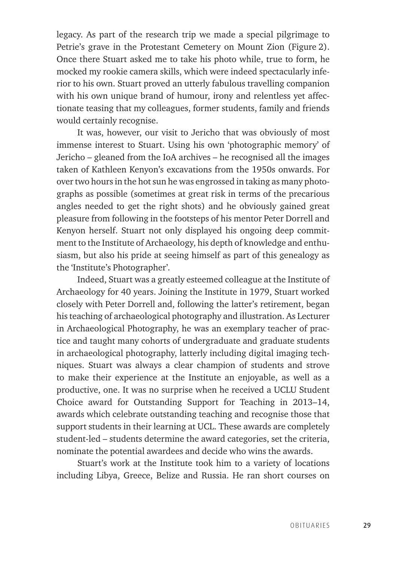legacy. As part of the research trip we made a special pilgrimage to Petrie's grave in the Protestant Cemetery on Mount Zion (Figure 2). Once there Stuart asked me to take his photo while, true to form, he mocked my rookie camera skills, which were indeed spectacularly inferior to his own. Stuart proved an utterly fabulous travelling companion with his own unique brand of humour, irony and relentless yet affectionate teasing that my colleagues, former students, family and friends would certainly recognise.

It was, however, our visit to Jericho that was obviously of most immense interest to Stuart. Using his own 'photographic memory' of Jericho – gleaned from the IoA archives – he recognised all the images taken of Kathleen Kenyon's excavations from the 1950s onwards. For over two hours in the hot sun he was engrossed in taking as many photographs as possible (sometimes at great risk in terms of the precarious angles needed to get the right shots) and he obviously gained great pleasure from following in the footsteps of his mentor Peter Dorrell and Kenyon herself. Stuart not only displayed his ongoing deep commitment to the Institute of Archaeology, his depth of knowledge and enthusiasm, but also his pride at seeing himself as part of this genealogy as the 'Institute's Photographer'.

Indeed, Stuart was a greatly esteemed colleague at the Institute of Archaeology for 40 years. Joining the Institute in 1979, Stuart worked closely with Peter Dorrell and, following the latter's retirement, began his teaching of archaeological photography and illustration. As Lecturer in Archaeological Photography, he was an exemplary teacher of practice and taught many cohorts of undergraduate and graduate students in archaeological photography, latterly including digital imaging techniques. Stuart was always a clear champion of students and strove to make their experience at the Institute an enjoyable, as well as a productive, one. It was no surprise when he received a UCLU Student Choice award for Outstanding Support for Teaching in 2013–14, awards which celebrate outstanding teaching and recognise those that support students in their learning at UCL. These awards are completely student-led – students determine the award categories, set the criteria, nominate the potential awardees and decide who wins the awards.

Stuart's work at the Institute took him to a variety of locations including Libya, Greece, Belize and Russia. He ran short courses on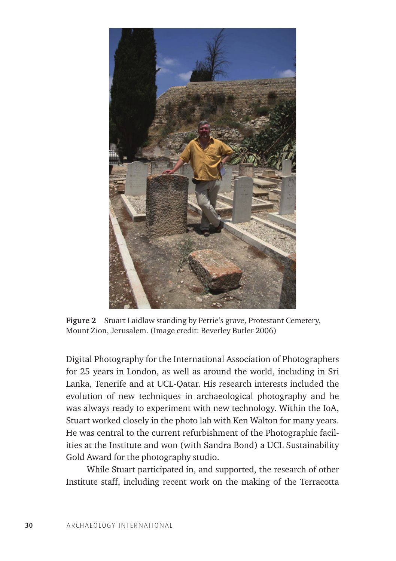

**Figure 2** Stuart Laidlaw standing by Petrie's grave, Protestant Cemetery, Mount Zion, Jerusalem. (Image credit: Beverley Butler 2006)

Digital Photography for the International Association of Photographers for 25 years in London, as well as around the world, including in Sri Lanka, Tenerife and at UCL-Qatar. His research interests included the evolution of new techniques in archaeological photography and he was always ready to experiment with new technology. Within the IoA, Stuart worked closely in the photo lab with Ken Walton for many years. He was central to the current refurbishment of the Photographic facilities at the Institute and won (with Sandra Bond) a UCL Sustainability Gold Award for the photography studio.

While Stuart participated in, and supported, the research of other Institute staff, including recent work on the making of the Terracotta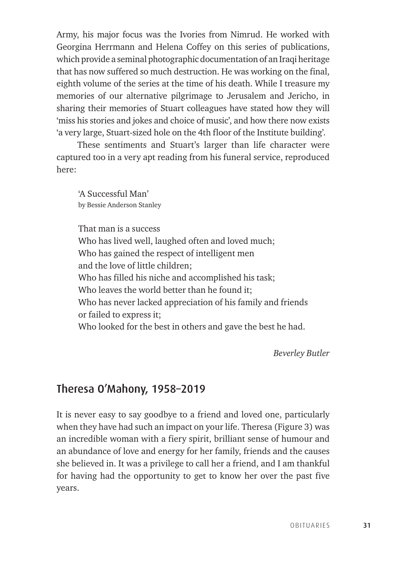Army, his major focus was the Ivories from Nimrud. He worked with Georgina Herrmann and Helena Coffey on this series of publications, which provide a seminal photographic documentation of an Iraqi heritage that has now suffered so much destruction. He was working on the final, eighth volume of the series at the time of his death. While I treasure my memories of our alternative pilgrimage to Jerusalem and Jericho, in sharing their memories of Stuart colleagues have stated how they will 'miss his stories and jokes and choice of music', and how there now exists 'a very large, Stuart-sized hole on the 4th floor of the Institute building'.

These sentiments and Stuart's larger than life character were captured too in a very apt reading from his funeral service, reproduced here:

'A Successful Man' by Bessie Anderson Stanley

That man is a success Who has lived well, laughed often and loved much; Who has gained the respect of intelligent men and the love of little children; Who has filled his niche and accomplished his task; Who leaves the world better than he found it; Who has never lacked appreciation of his family and friends or failed to express it; Who looked for the best in others and gave the best he had.

*Beverley Butler*

## Theresa O'Mahony, 1958–2019

It is never easy to say goodbye to a friend and loved one, particularly when they have had such an impact on your life. Theresa (Figure 3) was an incredible woman with a fiery spirit, brilliant sense of humour and an abundance of love and energy for her family, friends and the causes she believed in. It was a privilege to call her a friend, and I am thankful for having had the opportunity to get to know her over the past five years.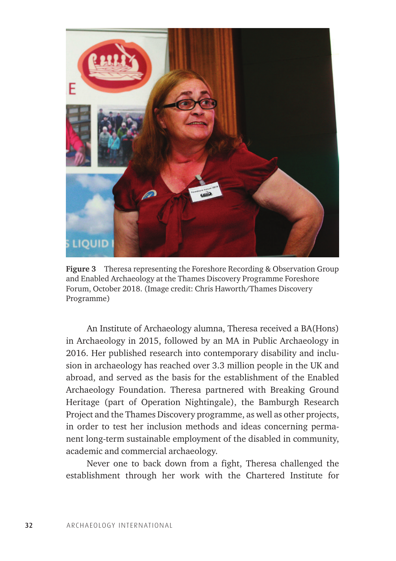

**Figure 3** Theresa representing the Foreshore Recording & Observation Group and Enabled Archaeology at the Thames Discovery Programme Foreshore Forum, October 2018. (Image credit: Chris Haworth/Thames Discovery Programme)

An Institute of Archaeology alumna, Theresa received a BA(Hons) in Archaeology in 2015, followed by an MA in Public Archaeology in 2016. Her published research into contemporary disability and inclusion in archaeology has reached over 3.3 million people in the UK and abroad, and served as the basis for the establishment of the Enabled Archaeology Foundation. Theresa partnered with Breaking Ground Heritage (part of Operation Nightingale), the Bamburgh Research Project and the Thames Discovery programme, as well as other projects, in order to test her inclusion methods and ideas concerning permanent long-term sustainable employment of the disabled in community, academic and commercial archaeology.

Never one to back down from a fight, Theresa challenged the establishment through her work with the Chartered Institute for